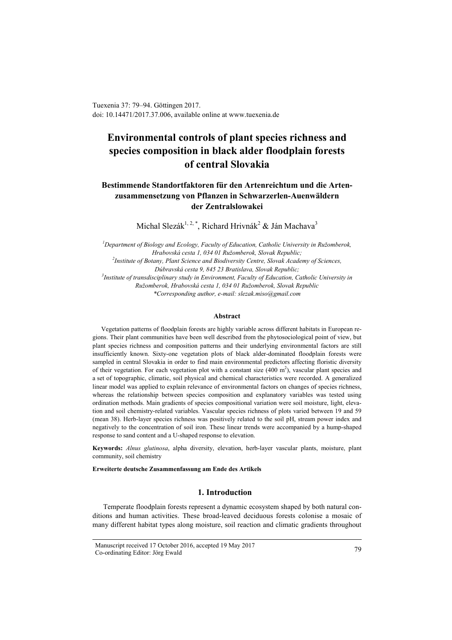Tuexenia 37: 79–94. Göttingen 2017. doi: 10.14471/2017.37.006, available online a[t www.tuexenia.de](http://www.tuexenia.de/)

# **Environmental controls of plant species richness and species composition in black alder floodplain forests of central Slovakia**

## **Bestimmende Standortfaktoren für den Artenreichtum und die Artenzusammensetzung von Pflanzen in Schwarzerlen-Auenwäldern der Zentralslowakei**

Michal Slezák<sup>1, 2, \*</sup>, Richard Hrivnák<sup>2</sup> & Ján Machava<sup>3</sup>

*<sup>1</sup>Department of Biology and Ecology, Faculty of Education, Catholic University in Ružomberok, Hrabovská cesta 1, 034 01 Ružomberok, Slovak Republic; 2 Institute of Botany, Plant Science and Biodiversity Centre, Slovak Academy of Sciences, Dúbravská cesta 9, 845 23 Bratislava, Slovak Republic; 3 Institute of transdisciplinary study in Environment, Faculty of Education, Catholic University in Ružomberok, Hrabovská cesta 1, 034 01 Ružomberok, Slovak Republic \*Corresponding author, e-mail: slezak.miso@gmail.com*

#### **Abstract**

Vegetation patterns of floodplain forests are highly variable across different habitats in European regions. Their plant communities have been well described from the phytosociological point of view, but plant species richness and composition patterns and their underlying environmental factors are still insufficiently known. Sixty-one vegetation plots of black alder-dominated floodplain forests were sampled in central Slovakia in order to find main environmental predictors affecting floristic diversity of their vegetation. For each vegetation plot with a constant size  $(400 \text{ m}^2)$ , vascular plant species and a set of topographic, climatic, soil physical and chemical characteristics were recorded. A generalized linear model was applied to explain relevance of environmental factors on changes of species richness, whereas the relationship between species composition and explanatory variables was tested using ordination methods. Main gradients of species compositional variation were soil moisture, light, elevation and soil chemistry-related variables. Vascular species richness of plots varied between 19 and 59 (mean 38). Herb-layer species richness was positively related to the soil pH, stream power index and negatively to the concentration of soil iron. These linear trends were accompanied by a hump-shaped response to sand content and a U-shaped response to elevation.

**Keywords:** *Alnus glutinosa*, alpha diversity, elevation, herb-layer vascular plants, moisture, plant community, soil chemistry

**Erweiterte deutsche Zusammenfassung am Ende des Artikels** 

#### **1. Introduction**

Temperate floodplain forests represent a dynamic ecosystem shaped by both natural conditions and human activities. These broad-leaved deciduous forests colonise a mosaic of many different habitat types along moisture, soil reaction and climatic gradients throughout

Manuscript received 17 October 2016, accepted 19 May 2017 Co-ordinating Editor: Jörg Ewald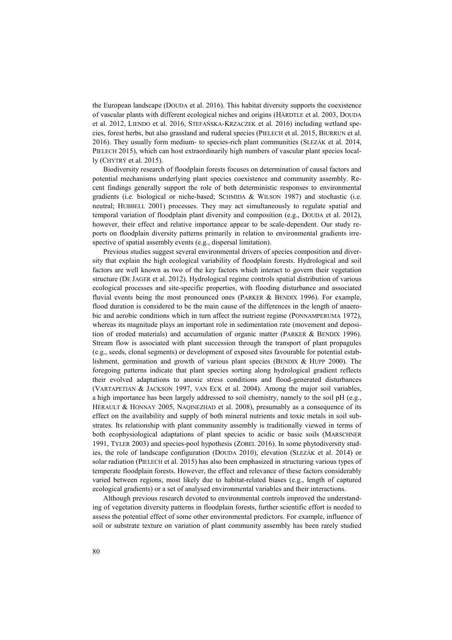the European landscape (DOUDA et al. 2016). This habitat diversity supports the coexistence of vascular plants with different ecological niches and origins (HÄRDTLE et al. 2003, DOUDA et al. 2012, LIENDO et al. 2016, STEFAŃSKA-KRZACZEK et al. 2016) including wetland species, forest herbs, but also grassland and ruderal species (PIELECH et al. 2015, BIURRUN et al. 2016). They usually form medium- to species-rich plant communities (SLEZÁK et al. 2014, PIELECH 2015), which can host extraordinarily high numbers of vascular plant species locally (CHYTRÝ et al. 2015).

Biodiversity research of floodplain forests focuses on determination of causal factors and potential mechanisms underlying plant species coexistence and community assembly. Recent findings generally support the role of both deterministic responses to environmental gradients (i.e. biological or niche-based; SCHMIDA & WILSON 1987) and stochastic (i.e. neutral; HUBBELL 2001) processes. They may act simultaneously to regulate spatial and temporal variation of floodplain plant diversity and composition (e.g., DOUDA et al. 2012), however, their effect and relative importance appear to be scale-dependent. Our study reports on floodplain diversity patterns primarily in relation to environmental gradients irrespective of spatial assembly events (e.g., dispersal limitation).

Previous studies suggest several environmental drivers of species composition and diversity that explain the high ecological variability of floodplain forests. Hydrological and soil factors are well known as two of the key factors which interact to govern their vegetation structure (DE JAGER et al. 2012). Hydrological regime controls spatial distribution of various ecological processes and site-specific properties, with flooding disturbance and associated fluvial events being the most pronounced ones (PARKER & BENDIX 1996). For example, flood duration is considered to be the main cause of the differences in the length of anaerobic and aerobic conditions which in turn affect the nutrient regime (PONNAMPERUMA 1972), whereas its magnitude plays an important role in sedimentation rate (movement and deposition of eroded materials) and accumulation of organic matter (PARKER & BENDIX 1996). Stream flow is associated with plant succession through the transport of plant propagules (e.g., seeds, clonal segments) or development of exposed sites favourable for potential establishment, germination and growth of various plant species (BENDIX & HUPP 2000). The foregoing patterns indicate that plant species sorting along hydrological gradient reflects their evolved adaptations to anoxic stress conditions and flood-generated disturbances (VARTAPETIAN & JACKSON 1997, VAN ECK et al. 2004). Among the major soil variables, a high importance has been largely addressed to soil chemistry, namely to the soil pH (e.g., HÉRAULT & HONNAY 2005, NAQINEZHAD et al. 2008), presumably as a consequence of its effect on the availability and supply of both mineral nutrients and toxic metals in soil substrates. Its relationship with plant community assembly is traditionally viewed in terms of both ecophysiological adaptations of plant species to acidic or basic soils (MARSCHNER 1991, TYLER 2003) and species-pool hypothesis (ZOBEL 2016). In some phytodiversity studies, the role of landscape configuration (DOUDA 2010), elevation (SLEZÁK et al. 2014) or solar radiation (PIELECH et al. 2015) has also been emphasized in structuring various types of temperate floodplain forests. However, the effect and relevance of these factors considerably varied between regions, most likely due to habitat-related biases (e.g., length of captured ecological gradients) or a set of analysed environmental variables and their interactions.

Although previous research devoted to environmental controls improved the understanding of vegetation diversity patterns in floodplain forests, further scientific effort is needed to assess the potential effect of some other environmental predictors. For example, influence of soil or substrate texture on variation of plant community assembly has been rarely studied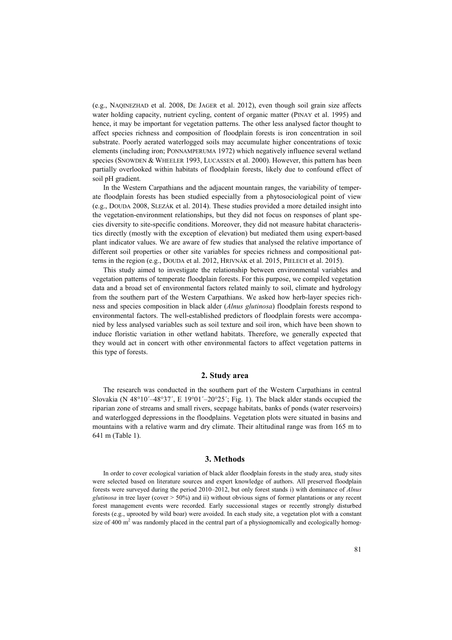(e.g., NAQINEZHAD et al. 2008, DE JAGER et al. 2012), even though soil grain size affects water holding capacity, nutrient cycling, content of organic matter (PINAY et al. 1995) and hence, it may be important for vegetation patterns. The other less analysed factor thought to affect species richness and composition of floodplain forests is iron concentration in soil substrate. Poorly aerated waterlogged soils may accumulate higher concentrations of toxic elements (including iron; PONNAMPERUMA 1972) which negatively influence several wetland species (SNOWDEN & WHEELER 1993, LUCASSEN et al. 2000). However, this pattern has been partially overlooked within habitats of floodplain forests, likely due to confound effect of soil pH gradient.

In the Western Carpathians and the adjacent mountain ranges, the variability of temperate floodplain forests has been studied especially from a phytosociological point of view (e.g., DOUDA 2008, SLEZÁK et al. 2014). These studies provided a more detailed insight into the vegetation-environment relationships, but they did not focus on responses of plant species diversity to site-specific conditions. Moreover, they did not measure habitat characteristics directly (mostly with the exception of elevation) but mediated them using expert-based plant indicator values. We are aware of few studies that analysed the relative importance of different soil properties or other site variables for species richness and compositional patterns in the region (e.g., DOUDA et al. 2012, HRIVNÁK et al. 2015, PIELECH et al. 2015).

This study aimed to investigate the relationship between environmental variables and vegetation patterns of temperate floodplain forests. For this purpose, we compiled vegetation data and a broad set of environmental factors related mainly to soil, climate and hydrology from the southern part of the Western Carpathians. We asked how herb-layer species richness and species composition in black alder (*Alnus glutinosa*) floodplain forests respond to environmental factors. The well-established predictors of floodplain forests were accompanied by less analysed variables such as soil texture and soil iron, which have been shown to induce floristic variation in other wetland habitats. Therefore, we generally expected that they would act in concert with other environmental factors to affect vegetation patterns in this type of forests.

#### **2. Study area**

The research was conducted in the southern part of the Western Carpathians in central Slovakia (N 48°10′–48°37′, E 19°01′–20°25′; Fig. 1). The black alder stands occupied the riparian zone of streams and small rivers, seepage habitats, banks of ponds (water reservoirs) and waterlogged depressions in the floodplains. Vegetation plots were situated in basins and mountains with a relative warm and dry climate. Their altitudinal range was from 165 m to 641 m (Table 1).

#### **3. Methods**

In order to cover ecological variation of black alder floodplain forests in the study area, study sites were selected based on literature sources and expert knowledge of authors. All preserved floodplain forests were surveyed during the period 2010–2012, but only forest stands i) with dominance of *Alnus glutinosa* in tree layer (cover  $> 50\%$ ) and ii) without obvious signs of former plantations or any recent forest management events were recorded. Early successional stages or recently strongly disturbed forests (e.g., uprooted by wild boar) were avoided. In each study site, a vegetation plot with a constant size of 400  $m<sup>2</sup>$  was randomly placed in the central part of a physiognomically and ecologically homog-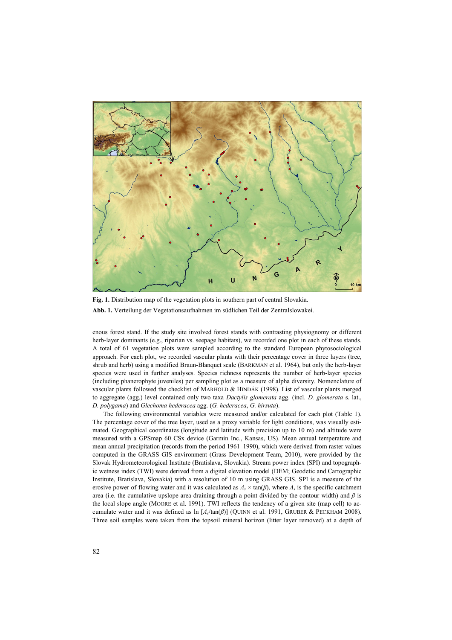

Fig. 1. Distribution map of the vegetation plots in southern part of central Slovakia. **Abb. 1.** Verteilung der Vegetationsaufnahmen im südlichen Teil der Zentralslowakei.

enous forest stand. If the study site involved forest stands with contrasting physiognomy or different herb-layer dominants (e.g., riparian vs. seepage habitats), we recorded one plot in each of these stands. A total of 61 vegetation plots were sampled according to the standard European phytosociological approach. For each plot, we recorded vascular plants with their percentage cover in three layers (tree, shrub and herb) using a modified Braun-Blanquet scale (BARKMAN et al. 1964), but only the herb-layer species were used in further analyses. Species richness represents the number of herb-layer species (including phanerophyte juveniles) per sampling plot as a measure of alpha diversity. Nomenclature of vascular plants followed the checklist of MARHOLD & HINDÁK (1998). List of vascular plants merged to aggregate (agg.) level contained only two taxa *Dactylis glomerata* agg. (incl. *D. glomerata* s. lat., *D. polygama*) and *Glechoma hederacea* agg. (*G. hederacea*, *G. hirsuta*).

The following environmental variables were measured and/or calculated for each plot (Table 1). The percentage cover of the tree layer, used as a proxy variable for light conditions, was visually estimated. Geographical coordinates (longitude and latitude with precision up to 10 m) and altitude were measured with a GPSmap 60 CSx device (Garmin Inc., Kansas, US). Mean annual temperature and mean annual precipitation (records from the period 1961–1990), which were derived from raster values computed in the GRASS GIS environment (Grass Development Team, 2010), were provided by the Slovak Hydrometeorological Institute (Bratislava, Slovakia). Stream power index (SPI) and topographic wetness index (TWI) were derived from a digital elevation model (DEM; Geodetic and Cartographic Institute, Bratislava, Slovakia) with a resolution of 10 m using GRASS GIS. SPI is a measure of the erosive power of flowing water and it was calculated as  $A_s \times \tan(\beta)$ , where  $A_s$  is the specific catchment area (i.e. the cumulative upslope area draining through a point divided by the contour width) and *β* is the local slope angle (MOORE et al. 1991). TWI reflects the tendency of a given site (map cell) to accumulate water and it was defined as ln [*As*/tan(*β*)] (QUINN et al. 1991, GRUBER & PECKHAM 2008). Three soil samples were taken from the topsoil mineral horizon (litter layer removed) at a depth of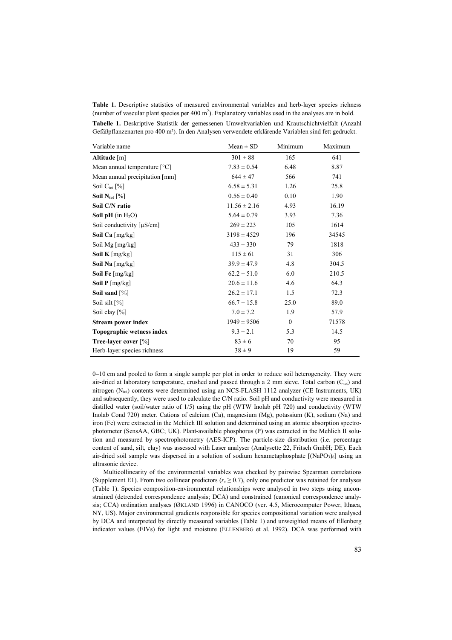**Table 1.** Descriptive statistics of measured environmental variables and herb-layer species richness (number of vascular plant species per 400  $m^2$ ). Explanatory variables used in the analyses are in bold.

**Tabelle 1.** Deskriptive Statistik der gemessenen Umweltvariablen und Krautschichtvielfalt (Anzahl Gefäßpflanzenarten pro 400 m²). In den Analysen verwendete erklärende Variablen sind fett gedruckt.

| Variable name                              | $Mean \pm SD$    | Minimum      | Maximum |
|--------------------------------------------|------------------|--------------|---------|
| Altitude [m]                               | $301 \pm 88$     | 165          | 641     |
| Mean annual temperature [°C]               | $7.83 \pm 0.54$  | 6.48         | 8.87    |
| Mean annual precipitation [mm]             | $644 \pm 47$     | 566          | 741     |
| Soil $C_{\text{tot}}$ [%]                  | $6.58 \pm 5.31$  | 1.26         | 25.8    |
| Soil $N_{\text{tot}}$ [%]                  | $0.56 \pm 0.40$  | 0.10         | 1.90    |
| Soil C/N ratio                             | $11.56 \pm 2.16$ | 4.93         | 16.19   |
| <b>Soil pH</b> (in $H_2O$ )                | $5.64 \pm 0.79$  | 3.93         | 7.36    |
| Soil conductivity $\lceil \mu S/cm \rceil$ | $269 \pm 223$    | 105          | 1614    |
| Soil Ca $[mg/kg]$                          | $3198 \pm 4529$  | 196          | 34545   |
| Soil Mg [mg/kg]                            | $433 \pm 330$    | 79           | 1818    |
| <b>Soil K</b> [mg/kg]                      | $115 \pm 61$     | 31           | 306     |
| Soil Na [mg/kg]                            | $39.9 \pm 47.9$  | 4.8          | 304.5   |
| Soil Fe [mg/kg]                            | $62.2 \pm 51.0$  | 6.0          | 210.5   |
| Soil $P$ [mg/kg]                           | $20.6 \pm 11.6$  | 4.6          | 64.3    |
| Soil sand $[\%]$                           | $26.2 \pm 17.1$  | 1.5          | 72.3    |
| Soil silt [%]                              | $66.7 \pm 15.8$  | 25.0         | 89.0    |
| Soil clay $[\%]$                           | $7.0 \pm 7.2$    | 1.9          | 57.9    |
| Stream power index                         | $1949 \pm 9506$  | $\mathbf{0}$ | 71578   |
| Topographic wetness index                  | $9.3 \pm 2.1$    | 5.3          | 14.5    |
| Tree-layer cover [%]                       | $83 \pm 6$       | 70           | 95      |
| Herb-layer species richness                | $38 \pm 9$       | 19           | 59      |

0–10 cm and pooled to form a single sample per plot in order to reduce soil heterogeneity. They were air-dried at laboratory temperature, crushed and passed through a 2 mm sieve. Total carbon  $(C_{\text{tot}})$  and nitrogen ( $N_{tot}$ ) contents were determined using an NCS-FLASH 1112 analyzer (CE Instruments, UK) and subsequently, they were used to calculate the C/N ratio. Soil pH and conductivity were measured in distilled water (soil/water ratio of 1/5) using the pH (WTW Inolab pH 720) and conductivity (WTW Inolab Cond 720) meter. Cations of calcium (Ca), magnesium (Mg), potassium (K), sodium (Na) and iron (Fe) were extracted in the Mehlich III solution and determined using an atomic absorption spectrophotometer (SensAA, GBC; UK). Plant-available phosphorus (P) was extracted in the Mehlich II solution and measured by spectrophotometry (AES-ICP). The particle-size distribution (i.e. percentage content of sand, silt, clay) was assessed with Laser analyser (Analysette 22, Fritsch GmbH; DE). Each air-dried soil sample was dispersed in a solution of sodium hexametaphosphate  $[(NaPO<sub>3</sub>)<sub>6</sub>]$  using an ultrasonic device.

Multicollinearity of the environmental variables was checked by pairwise Spearman correlations (Supplement E1). From two collinear predictors  $(r<sub>s</sub> \ge 0.7)$ , only one predictor was retained for analyses (Table 1). Species composition-environmental relationships were analysed in two steps using unconstrained (detrended correspondence analysis; DCA) and constrained (canonical correspondence analysis; CCA) ordination analyses (ØKLAND 1996) in CANOCO (ver. 4.5, Microcomputer Power, Ithaca, NY, US). Major environmental gradients responsible for species compositional variation were analysed by DCA and interpreted by directly measured variables (Table 1) and unweighted means of Ellenberg indicator values (EIVs) for light and moisture (ELLENBERG et al. 1992). DCA was performed with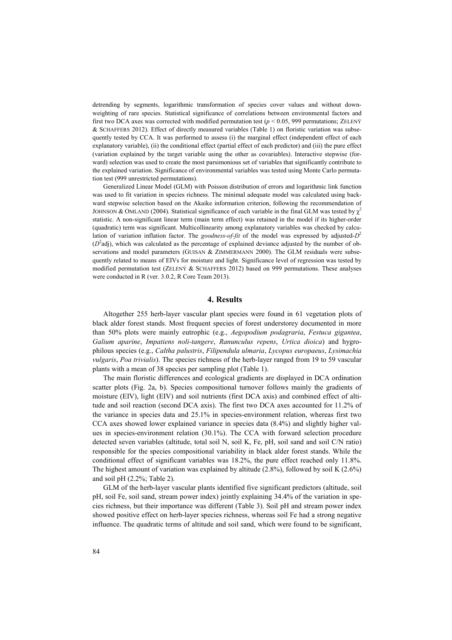detrending by segments, logarithmic transformation of species cover values and without downweighting of rare species. Statistical significance of correlations between environmental factors and first two DCA axes was corrected with modified permutation test  $(p < 0.05, 999$  permutations; ZELENÝ & SCHAFFERS 2012). Effect of directly measured variables (Table 1) on floristic variation was subsequently tested by CCA. It was performed to assess (i) the marginal effect (independent effect of each explanatory variable), (ii) the conditional effect (partial effect of each predictor) and (iii) the pure effect (variation explained by the target variable using the other as covariables). Interactive stepwise (forward) selection was used to create the most parsimonious set of variables that significantly contribute to the explained variation. Significance of environmental variables was tested using Monte Carlo permutation test (999 unrestricted permutations).

Generalized Linear Model (GLM) with Poisson distribution of errors and logarithmic link function was used to fit variation in species richness. The minimal adequate model was calculated using backward stepwise selection based on the Akaike information criterion, following the recommendation of JOHNSON & OMLAND (2004). Statistical significance of each variable in the final GLM was tested by  $\chi^2$ statistic. A non-significant linear term (main term effect) was retained in the model if its higher-order (quadratic) term was significant. Multicollinearity among explanatory variables was checked by calculation of variation inflation factor. The *goodness-of-fit* of the model was expressed by adjusted-*D* 2  $(D^2$ adj), which was calculated as the percentage of explained deviance adjusted by the number of observations and model parameters (GUISAN & ZIMMERMANN 2000). The GLM residuals were subsequently related to means of EIVs for moisture and light. Significance level of regression was tested by modified permutation test (ZELENÝ & SCHAFFERS 2012) based on 999 permutations. These analyses were conducted in R (ver. 3.0.2, R Core Team 2013).

#### **4. Results**

Altogether 255 herb-layer vascular plant species were found in 61 vegetation plots of black alder forest stands. Most frequent species of forest understorey documented in more than 50% plots were mainly eutrophic (e.g., *Aegopodium podagraria*, *Festuca gigantea*, *Galium aparine*, *Impatiens noli-tangere*, *Ranunculus repens*, *Urtica dioica*) and hygrophilous species (e.g., *Caltha palustris*, *Filipendula ulmaria*, *Lycopus europaeus*, *Lysimachia vulgaris*, *Poa trivialis*). The species richness of the herb-layer ranged from 19 to 59 vascular plants with a mean of 38 species per sampling plot (Table 1).

The main floristic differences and ecological gradients are displayed in DCA ordination scatter plots (Fig. 2a, b). Species compositional turnover follows mainly the gradients of moisture (EIV), light (EIV) and soil nutrients (first DCA axis) and combined effect of altitude and soil reaction (second DCA axis). The first two DCA axes accounted for 11.2% of the variance in species data and 25.1% in species-environment relation, whereas first two CCA axes showed lower explained variance in species data (8.4%) and slightly higher values in species-environment relation (30.1%). The CCA with forward selection procedure detected seven variables (altitude, total soil N, soil K, Fe, pH, soil sand and soil C/N ratio) responsible for the species compositional variability in black alder forest stands. While the conditional effect of significant variables was 18.2%, the pure effect reached only 11.8%. The highest amount of variation was explained by altitude (2.8%), followed by soil K (2.6%) and soil pH (2.2%; Table 2).

GLM of the herb-layer vascular plants identified five significant predictors (altitude, soil pH, soil Fe, soil sand, stream power index) jointly explaining 34.4% of the variation in species richness, but their importance was different (Table 3). Soil pH and stream power index showed positive effect on herb-layer species richness, whereas soil Fe had a strong negative influence. The quadratic terms of altitude and soil sand, which were found to be significant,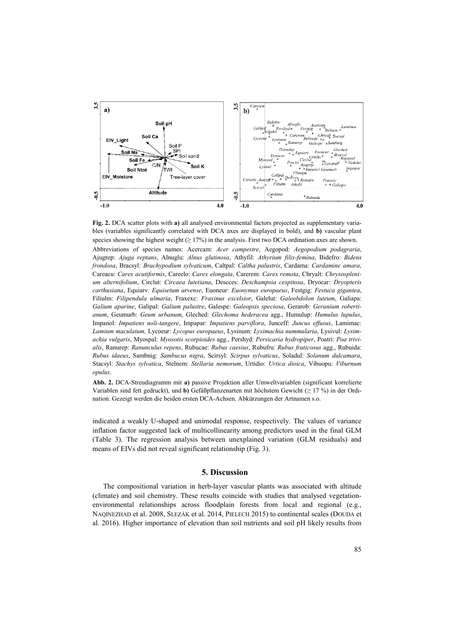

**Fig. 2.** DCA scatter plots with **a)** all analysed environmental factors projected as supplementary variables (variables significantly correlated with DCA axes are displayed in bold), and **b)** vascular plant species showing the highest weight  $(≥ 17%)$  in the analysis. First two DCA ordination axes are shown. Abbreviations of species names: Acercam: *Acer campestre*, Aegopod: *Aegopodium podagraria*, Ajugrep: *Ajuga reptans*, Alnuglu: *Alnus glutinosa*, Athyfil: *Athyrium filix-femina*, Bidefro: *Bidens frondosa*, Bracsyl: *Brachypodium sylvaticum*, Caltpal: *Caltha palustris*, Cardama: *Cardamine amara*, Careacu: *Carex acutiformis*, Careelo: *Carex elongata*, Carerem: *Carex remota*, Chryalt: *Chrysosplenium alternifolium*, Circlut: *Circaea lutetiana*, Descces: *Deschampsia cespitosa*, Dryocar: *Dryopteris carthusiana*, Equiarv: *Equisetum arvense*, Euoneur: *Euonymus europaeus*, Festgig: *Festuca gigantea*, Filiulm: *Filipendula ulmaria*, Fraxexc: *Fraxinus excelsior*, Galelut: *Galeobdolon luteum*, Galiapa: *Galium aparine*, Galipal: *Galium palustre*, Galespe: *Galeopsis speciosa*, Gerarob: *Geranium robertianum*, Geumurb: *Geum urbanum*, Gleched: *Glechoma hederacea* agg., Humulup: *Humulus lupulus*, Impanol: *Impatiens noli-tangere*, Impapar: *Impatiens parviflora*, Junceff: *Juncus effusus*, Lamimac: *Lamium maculatum,* Lycoeur: *Lycopus europaeus*, Lysinum: *Lysimachia nummularia*, Lysivul: *Lysimachia vulgaris*, Myospal: *Myosotis scorpioides* agg., Pershyd: *Persicaria hydropiper*, Poatri: *Poa trivialis*, Ranurep: *Ranunculus repens*, Rubucae: *Rubus caesius*, Rubufru: *Rubus fruticosus* agg., Rubuida: *Rubus idaeus*, Sambnig: *Sambucus nigra*, Scirsyl: *Scirpus sylvaticus*, Soladul: *Solanum dulcamara*, Stacsyl: *Stachys sylvatica*, Stelnem: *Stellaria nemorum*, Urtidio: *Urtica dioica*, Vibuopu: *Viburnum opulus*.

**Abb. 2.** DCA-Streudiagramm mit **a)** passive Projektion aller Umweltvariablen (significant korrelierte Variablen sind fett gedruckt), und **b)** Gefäßpflanzenarten mit höchstem Gewicht (≥ 17 %) in der Ordination. Gezeigt werden die beiden ersten DCA-Achsen. Abkürzungen der Artnamen s.o.

indicated a weakly U-shaped and unimodal response, respectively. The values of variance inflation factor suggested lack of multicollinearity among predictors used in the final GLM (Table 3). The regression analysis between unexplained variation (GLM residuals) and means of EIVs did not reveal significant relationship (Fig. 3).

## **5. Discussion**

The compositional variation in herb-layer vascular plants was associated with altitude (climate) and soil chemistry. These results coincide with studies that analysed vegetationenvironmental relationships across floodplain forests from local and regional (e.g., NAQINEZHAD et al. 2008, SLEZÁK et al. 2014, PIELECH 2015) to continental scales (DOUDA et al. 2016). Higher importance of elevation than soil nutrients and soil pH likely results from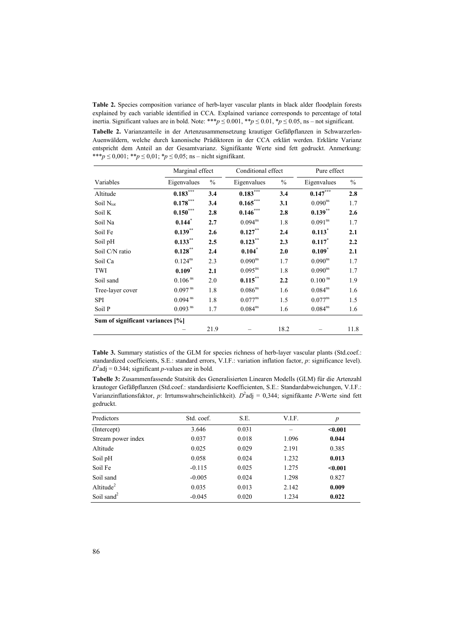**Table 2.** Species composition variance of herb-layer vascular plants in black alder floodplain forests explained by each variable identified in CCA. Explained variance corresponds to percentage of total inertia. Significant values are in bold. Note: \*\*\* $p \le 0.001$ , \* $p \le 0.01$ , \* $p \le 0.05$ , ns – not significant.

**Tabelle 2.** Varianzanteile in der Artenzusammensetzung krautiger Gefäßpflanzen in Schwarzerlen-Auenwäldern, welche durch kanonische Prädiktoren in der CCA erklärt werden. Erklärte Varianz entspricht dem Anteil an der Gesamtvarianz. Signifikante Werte sind fett gedruckt. Anmerkung: \*\*\**p* ≤ 0,001; \*\**p* ≤ 0,01; \**p* ≤ 0,05; ns – nicht signifikant.

|                                  | Marginal effect       |               | Conditional effect     |               | Pure effect           |               |  |
|----------------------------------|-----------------------|---------------|------------------------|---------------|-----------------------|---------------|--|
| Variables                        | Eigenvalues           | $\frac{0}{0}$ | Eigenvalues            | $\frac{0}{0}$ | Eigenvalues           | $\frac{0}{0}$ |  |
| Altitude                         | $0.183***$            | 3.4           | $0.183$ <sup>***</sup> | 3.4           | $0.147***$            | 2.8           |  |
| Soil $N_{\text{tot}}$            | $0.178***$            | 3.4           | $0.165***$             | 3.1           | 0.090 <sup>ns</sup>   | 1.7           |  |
| Soil K                           | $0.150***$            | 2.8           | $0.146***$             | 2.8           | $0.139***$            | 2.6           |  |
| Soil Na                          | $0.144*$              | 2.7           | $0.094^{ns}$           | 1.8           | 0.091 <sup>ns</sup>   | 1.7           |  |
| Soil Fe                          | $0.139***$            | 2.6           | $0.127***$             | 2.4           | $0.113$ <sup>*</sup>  | 2.1           |  |
| Soil pH                          | $0.133***$            | 2.5           | $0.123***$             | 2.3           | 0.117                 | 2.2           |  |
| Soil C/N ratio                   | $0.128***$            | 2.4           | $0.104^*$              | 2.0           | $0.109$ <sup>*</sup>  | 2.1           |  |
| Soil Ca                          | $0.124^{ns}$          | 2.3           | $0.090^{ns}$           | 1.7           | 0.090 <sup>ns</sup>   | 1.7           |  |
| TWI                              | $0.109*$              | 2.1           | $0.095^{ns}$           | 1.8           | 0.090 <sup>ns</sup>   | 1.7           |  |
| Soil sand                        | 0.106 <sup>ns</sup>   | 2.0           | $0.115***$             | 2.2           | $0.100$ <sup>ns</sup> | 1.9           |  |
| Tree-layer cover                 | $0.097$ <sup>ns</sup> | 1.8           | $0.086$ <sup>ns</sup>  | 1.6           | $0.084^{ns}$          | 1.6           |  |
| <b>SPI</b>                       | $0.094$ <sup>ns</sup> | 1.8           | $0.077^{ns}$           | 1.5           | $0.077^{ns}$          | 1.5           |  |
| Soil P                           | $0.093$ <sup>ns</sup> | 1.7           | $0.084^{ns}$           | 1.6           | $0.084^{ns}$          | 1.6           |  |
| Sum of significant variances [%] |                       |               |                        |               |                       |               |  |
|                                  |                       | 21.9          |                        | 18.2          |                       | 11.8          |  |

**Table 3.** Summary statistics of the GLM for species richness of herb-layer vascular plants (Std.coef.: standardized coefficients, S.E.: standard errors, V.I.F.: variation inflation factor, *p*: significance level).  $D^2$ adj = 0.344; significant *p*-values are in bold.

**Tabelle 3:** Zusammenfassende Statsitik des Generalisierten Linearen Modells (GLM) für die Artenzahl krautoger Gefäßpflanzen (Std.coef.: standardisierte Koefficienten, S.E.: Standardabweichungen, V.I.F.: Varianzinflationsfaktor, *p*: Irrtumswahrscheinlichkeit). *D* 2 adj = 0,344; signifikante *P*-Werte sind fett gedruckt.

| Predictors             | Std. coef. | S.E.  | V.I.F. | $\boldsymbol{p}$ |
|------------------------|------------|-------|--------|------------------|
| (Intercept)            | 3.646      | 0.031 |        | < 0.001          |
| Stream power index     | 0.037      | 0.018 | 1.096  | 0.044            |
| Altitude               | 0.025      | 0.029 | 2.191  | 0.385            |
| Soil pH                | 0.058      | 0.024 | 1.232  | 0.013            |
| Soil Fe                | $-0.115$   | 0.025 | 1.275  | < 0.001          |
| Soil sand              | $-0.005$   | 0.024 | 1.298  | 0.827            |
| Altitude $^{2}$        | 0.035      | 0.013 | 2.142  | 0.009            |
| Soil sand <sup>2</sup> | $-0.045$   | 0.020 | 1.234  | 0.022            |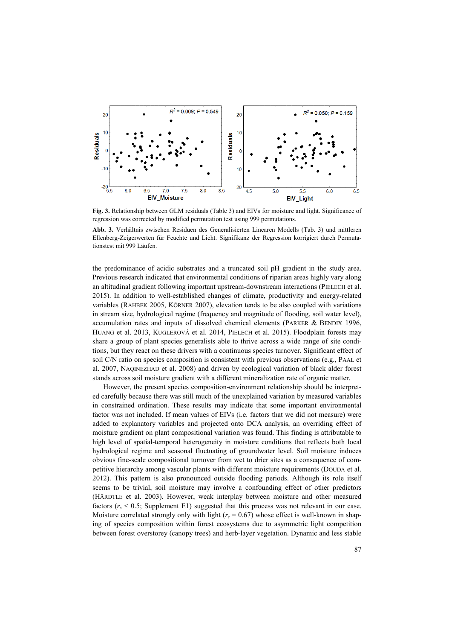

**Fig. 3.** Relationship between GLM residuals (Table 3) and EIVs for moisture and light. Significance of regression was corrected by modified permutation test using 999 permutations.

**Abb. 3.** Verhältnis zwischen Residuen des Generalisierten Linearen Modells (Tab. 3) und mittleren Ellenberg-Zeigerwerten für Feuchte und Licht. Signifikanz der Regression korrigiert durch Permutationstest mit 999 Läufen.

the predominance of acidic substrates and a truncated soil pH gradient in the study area. Previous research indicated that environmental conditions of riparian areas highly vary along an altitudinal gradient following important upstream-downstream interactions (PIELECH et al. 2015). In addition to well-established changes of climate, productivity and energy-related variables (RAHBEK 2005, KÖRNER 2007), elevation tends to be also coupled with variations in stream size, hydrological regime (frequency and magnitude of flooding, soil water level), accumulation rates and inputs of dissolved chemical elements (PARKER & BENDIX 1996, HUANG et al. 2013, KUGLEROVÁ et al. 2014, PIELECH et al. 2015). Floodplain forests may share a group of plant species generalists able to thrive across a wide range of site conditions, but they react on these drivers with a continuous species turnover. Significant effect of soil C/N ratio on species composition is consistent with previous observations (e.g., PAAL et al. 2007, NAQINEZHAD et al. 2008) and driven by ecological variation of black alder forest stands across soil moisture gradient with a different mineralization rate of organic matter.

However, the present species composition-environment relationship should be interpreted carefully because there was still much of the unexplained variation by measured variables in constrained ordination. These results may indicate that some important environmental factor was not included. If mean values of EIVs (i.e. factors that we did not measure) were added to explanatory variables and projected onto DCA analysis, an overriding effect of moisture gradient on plant compositional variation was found. This finding is attributable to high level of spatial-temporal heterogeneity in moisture conditions that reflects both local hydrological regime and seasonal fluctuating of groundwater level. Soil moisture induces obvious fine-scale compositional turnover from wet to drier sites as a consequence of competitive hierarchy among vascular plants with different moisture requirements (DOUDA et al. 2012). This pattern is also pronounced outside flooding periods. Although its role itself seems to be trivial, soil moisture may involve a confounding effect of other predictors (HÄRDTLE et al. 2003). However, weak interplay between moisture and other measured factors  $(r<sub>s</sub> < 0.5;$  Supplement E1) suggested that this process was not relevant in our case. Moisture correlated strongly only with light  $(r<sub>s</sub> = 0.67)$  whose effect is well-known in shaping of species composition within forest ecosystems due to asymmetric light competition between forest overstorey (canopy trees) and herb-layer vegetation. Dynamic and less stable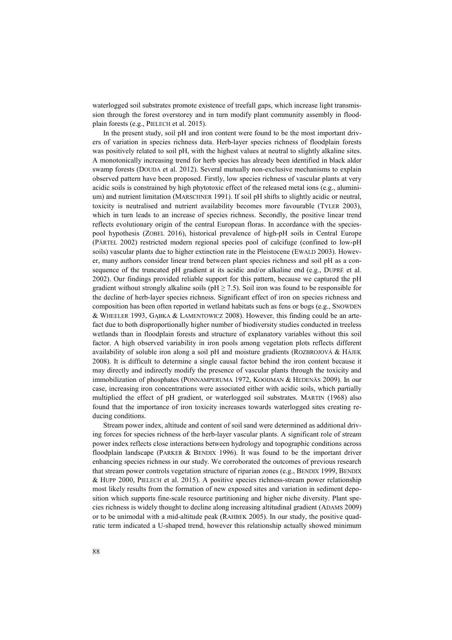waterlogged soil substrates promote existence of treefall gaps, which increase light transmission through the forest overstorey and in turn modify plant community assembly in floodplain forests (e.g., PIELECH et al. 2015).

In the present study, soil pH and iron content were found to be the most important drivers of variation in species richness data. Herb-layer species richness of floodplain forests was positively related to soil pH, with the highest values at neutral to slightly alkaline sites. A monotonically increasing trend for herb species has already been identified in black alder swamp forests (DOUDA et al. 2012). Several mutually non-exclusive mechanisms to explain observed pattern have been proposed. Firstly, low species richness of vascular plants at very acidic soils is constrained by high phytotoxic effect of the released metal ions (e.g., aluminium) and nutrient limitation (MARSCHNER 1991). If soil pH shifts to slightly acidic or neutral, toxicity is neutralised and nutrient availability becomes more favourable (TYLER 2003), which in turn leads to an increase of species richness. Secondly, the positive linear trend reflects evolutionary origin of the central European floras. In accordance with the speciespool hypothesis (ZOBEL 2016), historical prevalence of high-pH soils in Central Europe (PÄRTEL 2002) restricted modern regional species pool of calcifuge (confined to low-pH soils) vascular plants due to higher extinction rate in the Pleistocene (EWALD 2003). However, many authors consider linear trend between plant species richness and soil pH as a consequence of the truncated pH gradient at its acidic and/or alkaline end (e.g., DUPRÉ et al. 2002). Our findings provided reliable support for this pattern, because we captured the pH gradient without strongly alkaline soils ( $pH \ge 7.5$ ). Soil iron was found to be responsible for the decline of herb-layer species richness. Significant effect of iron on species richness and composition has been often reported in wetland habitats such as fens or bogs (e.g., SNOWDEN & WHEELER 1993, GĄBKA & LAMENTOWICZ 2008). However, this finding could be an artefact due to both disproportionally higher number of biodiversity studies conducted in treeless wetlands than in floodplain forests and structure of explanatory variables without this soil factor. A high observed variability in iron pools among vegetation plots reflects different availability of soluble iron along a soil pH and moisture gradients (ROZBROJOVÁ & HÁJEK 2008). It is difficult to determine a single causal factor behind the iron content because it may directly and indirectly modify the presence of vascular plants through the toxicity and immobilization of phosphates (PONNAMPERUMA 1972, KOOIJMAN & HEDENÄS 2009). In our case, increasing iron concentrations were associated either with acidic soils, which partially multiplied the effect of pH gradient, or waterlogged soil substrates. MARTIN (1968) also found that the importance of iron toxicity increases towards waterlogged sites creating reducing conditions.

Stream power index, altitude and content of soil sand were determined as additional driving forces for species richness of the herb-layer vascular plants. A significant role of stream power index reflects close interactions between hydrology and topographic conditions across floodplain landscape (PARKER & BENDIX 1996). It was found to be the important driver enhancing species richness in our study. We corroborated the outcomes of previous research that stream power controls vegetation structure of riparian zones (e.g., BENDIX 1999, BENDIX & HUPP 2000, PIELECH et al. 2015). A positive species richness-stream power relationship most likely results from the formation of new exposed sites and variation in sediment deposition which supports fine-scale resource partitioning and higher niche diversity. Plant species richness is widely thought to decline along increasing altitudinal gradient (ADAMS 2009) or to be unimodal with a mid-altitude peak (RAHBEK 2005). In our study, the positive quadratic term indicated a U-shaped trend, however this relationship actually showed minimum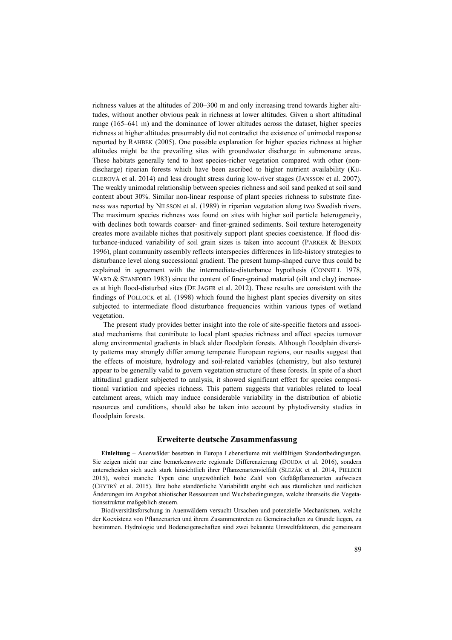richness values at the altitudes of 200–300 m and only increasing trend towards higher altitudes, without another obvious peak in richness at lower altitudes. Given a short altitudinal range (165–641 m) and the dominance of lower altitudes across the dataset, higher species richness at higher altitudes presumably did not contradict the existence of unimodal response reported by RAHBEK (2005). One possible explanation for higher species richness at higher altitudes might be the prevailing sites with groundwater discharge in submonane areas. These habitats generally tend to host species-richer vegetation compared with other (nondischarge) riparian forests which have been ascribed to higher nutrient availability (KU-GLEROVÁ et al. 2014) and less drought stress during low-river stages (JANSSON et al. 2007). The weakly unimodal relationship between species richness and soil sand peaked at soil sand content about 30%. Similar non-linear response of plant species richness to substrate fineness was reported by NILSSON et al. (1989) in riparian vegetation along two Swedish rivers. The maximum species richness was found on sites with higher soil particle heterogeneity, with declines both towards coarser- and finer-grained sediments. Soil texture heterogeneity creates more available niches that positively support plant species coexistence. If flood disturbance-induced variability of soil grain sizes is taken into account (PARKER & BENDIX 1996), plant community assembly reflects interspecies differences in life-history strategies to disturbance level along successional gradient. The present hump-shaped curve thus could be explained in agreement with the intermediate-disturbance hypothesis (CONNELL 1978, WARD & STANFORD 1983) since the content of finer-grained material (silt and clay) increases at high flood-disturbed sites (DE JAGER et al. 2012). These results are consistent with the findings of POLLOCK et al. (1998) which found the highest plant species diversity on sites subjected to intermediate flood disturbance frequencies within various types of wetland vegetation.

The present study provides better insight into the role of site-specific factors and associated mechanisms that contribute to local plant species richness and affect species turnover along environmental gradients in black alder floodplain forests. Although floodplain diversity patterns may strongly differ among temperate European regions, our results suggest that the effects of moisture, hydrology and soil-related variables (chemistry, but also texture) appear to be generally valid to govern vegetation structure of these forests. In spite of a short altitudinal gradient subjected to analysis, it showed significant effect for species compositional variation and species richness. This pattern suggests that variables related to local catchment areas, which may induce considerable variability in the distribution of abiotic resources and conditions, should also be taken into account by phytodiversity studies in floodplain forests.

## **Erweiterte deutsche Zusammenfassung**

**Einleitung** – Auenwälder besetzen in Europa Lebensräume mit vielfältigen Standortbedingungen. Sie zeigen nicht nur eine bemerkenswerte regionale Differenzierung (DOUDA et al. 2016), sondern unterscheiden sich auch stark hinsichtlich ihrer Pflanzenartenvielfalt (SLEZÁK et al. 2014, PIELECH 2015), wobei manche Typen eine ungewöhnlich hohe Zahl von Gefäßpflanzenarten aufweisen (CHYTRÝ et al. 2015). Ihre hohe standörtliche Variabilität ergibt sich aus räumlichen und zeitlichen Änderungen im Angebot abiotischer Ressourcen und Wuchsbedingungen, welche ihrerseits die Vegetationsstruktur maßgeblich steuern.

Biodiversitätsforschung in Auenwäldern versucht Ursachen und potenzielle Mechanismen, welche der Koexistenz von Pflanzenarten und ihrem Zusammentreten zu Gemeinschaften zu Grunde liegen, zu bestimmen. Hydrologie und Bodeneigenschaften sind zwei bekannte Umweltfaktoren, die gemeinsam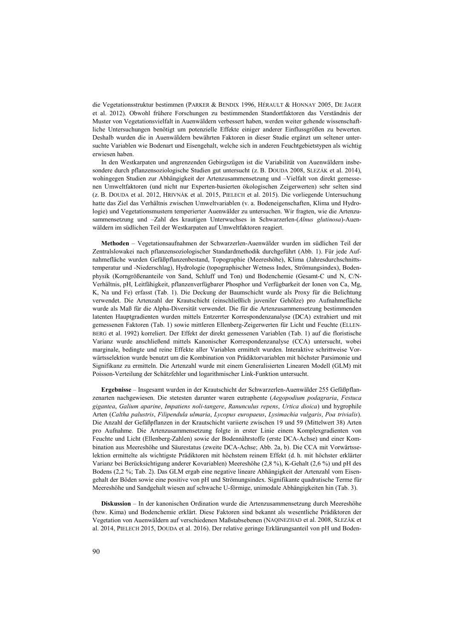die Vegetationsstruktur bestimmen (PARKER & BENDIX 1996, HÉRAULT & HONNAY 2005, DE JAGER et al. 2012). Obwohl frühere Forschungen zu bestimmenden Standortfaktoren das Verständnis der Muster von Vegetationsvielfalt in Auenwäldern verbessert haben, werden weiter gehende wissenschaftliche Untersuchungen benötigt um potenzielle Effekte einiger anderer Einflussgrößen zu bewerten. Deshalb wurden die in Auenwäldern bewährten Faktoren in dieser Studie ergänzt um seltener untersuchte Variablen wie Bodenart und Eisengehalt, welche sich in anderen Feuchtgebietstypen als wichtig erwiesen haben.

In den Westkarpaten und angrenzenden Gebirgszügen ist die Variabilität von Auenwäldern insbesondere durch pflanzensoziologische Studien gut untersucht (z. B. DOUDA 2008, SLEZÁK et al. 2014), wohingegen Studien zur Abhängigkeit der Artenzusammensetzung und –Vielfalt von direkt gemessenen Umweltfaktoren (und nicht nur Experten-basierten ökologischen Zeigerwerten) sehr selten sind (z. B. DOUDA et al. 2012, HRIVNÁK et al. 2015, PIELECH et al. 2015). Die vorliegende Untersuchung hatte das Ziel das Verhältnis zwischen Umweltvariablen (v. a. Bodeneigenschaften, Klima und Hydrologie) und Vegetationsmustern temperierter Auenwälder zu untersuchen. Wir fragten, wie die Artenzusammensetzung und –Zahl des krautigen Unterwuchses in Schwarzerlen-(*Alnus glutinosa*)-Auenwäldern im südlichen Teil der Westkarpaten auf Umweltfaktoren reagiert.

**Methoden** – Vegetationsaufnahmen der Schwarzerlen-Auenwälder wurden im südlichen Teil der Zentralslowakei nach pflanzensoziologischer Standardmethodik durchgeführt (Abb. 1). Für jede Aufnahmefläche wurden Gefäßpflanzenbestand, Topographie (Meereshöhe), Klima (Jahresdurchschnittstemperatur und -Niederschlag), Hydrologie (topographischer Wetness Index, Strömungsindex), Bodenphysik (Korngrößenanteile von Sand, Schluff und Ton) und Bodenchemie (Gesamt-C und N, C/N-Verhältnis, pH, Leitfähigkeit, pflanzenverfügbarer Phosphor und Verfügbarkeit der Ionen von Ca, Mg, K, Na und Fe) erfasst (Tab. 1). Die Deckung der Baumschicht wurde als Proxy für die Belichtung verwendet. Die Artenzahl der Krautschicht (einschließlich juveniler Gehölze) pro Aufnahmefläche wurde als Maß für die Alpha-Diversität verwendet. Die für die Artenzusammensetzung bestimmenden latenten Hauptgradienten wurden mittels Entzerrter Korrespondenzanalyse (DCA) extrahiert und mit gemessenen Faktoren (Tab. 1) sowie mittleren Ellenberg-Zeigerwerten für Licht und Feuchte (ELLEN-BERG et al. 1992) korreliert. Der Effekt der direkt gemessenen Variablen (Tab. 1) auf die floristische Varianz wurde anschließend mittels Kanonischer Korrespondenzanalyse (CCA) untersucht, wobei marginale, bedingte und reine Effekte aller Variablen ermittelt wurden. Interaktive schrittweise Vorwärtsselektion wurde benutzt um die Kombination von Prädiktorvariablen mit höchster Parsimonie und Signifikanz zu ermitteln. Die Artenzahl wurde mit einem Generalisierten Linearen Modell (GLM) mit Poisson-Verteilung der Schätzfehler und logarithmischer Link-Funktion untersucht.

**Ergebnisse** – Insgesamt wurden in der Krautschicht der Schwarzerlen-Auenwälder 255 Gefäßpflanzenarten nachgewiesen. Die stetesten darunter waren eutraphente (*Aegopodium podagraria*, *Festuca gigantea*, *Galium aparine*, *Impatiens noli-tangere*, *Ranunculus repens*, *Urtica dioica*) und hygrophile Arten (*Caltha palustris*, *Filipendula ulmaria*, *Lycopus europaeus*, *Lysimachia vulgaris*, *Poa trivialis*). Die Anzahl der Gefäßpflanzen in der Krautschicht variierte zwischen 19 und 59 (Mittelwert 38) Arten pro Aufnahme. Die Artenzusammensetzung folgte in erster Linie einem Komplexgradienten von Feuchte und Licht (Ellenberg-Zahlen) sowie der Bodennährstoffe (erste DCA-Achse) und einer Kombination aus Meereshöhe und Säurestatus (zweite DCA-Achse; Abb. 2a, b). Die CCA mit Vorwärtsselektion ermittelte als wichtigste Prädiktoren mit höchstem reinem Effekt (d. h. mit höchster erklärter Varianz bei Berücksichtigung anderer Kovariablen) Meereshöhe (2,8 %), K-Gehalt (2,6 %) und pH des Bodens (2,2 %; Tab. 2). Das GLM ergab eine negative lineare Abhängigkeit der Artenzahl vom Eisengehalt der Böden sowie eine positive von pH und Strömungsindex. Signifikante quadratische Terme für Meereshöhe und Sandgehalt wiesen auf schwache U-förmige, unimodale Abhängigkeiten hin (Tab. 3).

**Diskussion** – In der kanonischen Ordination wurde die Artenzusammensetzung durch Meereshöhe (bzw. Kima) und Bodenchemie erklärt. Diese Faktoren sind bekannt als wesentliche Prädiktoren der Vegetation von Auenwäldern auf verschiedenen Maßstabsebenen (NAQINEZHAD et al. 2008, SLEZÁK et al. 2014, PIELECH 2015, DOUDA et al. 2016). Der relative geringe Erklärungsanteil von pH und Boden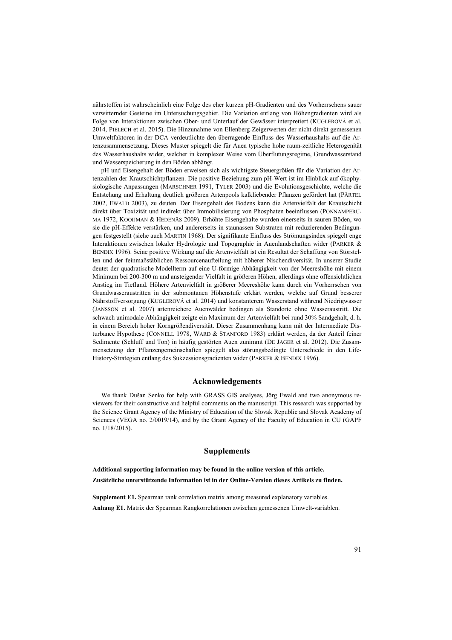nährstoffen ist wahrscheinlich eine Folge des eher kurzen pH-Gradienten und des Vorherrschens sauer verwitternder Gesteine im Untersuchungsgebiet. Die Variation entlang von Höhengradienten wird als Folge von Interaktionen zwischen Ober- und Unterlauf der Gewässer interpretiert (KUGLEROVÁ et al. 2014, PIELECH et al. 2015). Die Hinzunahme von Ellenberg-Zeigerwerten der nicht direkt gemessenen Umweltfaktoren in der DCA verdeutlichte den überragende Einfluss des Wasserhaushalts auf die Artenzusammensetzung. Dieses Muster spiegelt die für Auen typische hohe raum-zeitliche Heterogenität des Wasserhaushalts wider, welcher in komplexer Weise vom Überflutungsregime, Grundwasserstand und Wasserspeicherung in den Böden abhängt.

pH und Eisengehalt der Böden erweisen sich als wichtigste Steuergrößen für die Variation der Artenzahlen der Krautschichtpflanzen. Die positive Beziehung zum pH-Wert ist im Hinblick auf ökophysiologische Anpassungen (MARSCHNER 1991, TYLER 2003) und die Evolutionsgeschichte, welche die Entstehung und Erhaltung deutlich größeren Artenpools kalkliebender Pflanzen gefördert hat (PÄRTEL 2002, EWALD 2003), zu deuten. Der Eisengehalt des Bodens kann die Artenvielfalt der Krautschicht direkt über Toxizität und indirekt über Immobilisierung von Phosphaten beeinflussen (PONNAMPERU-MA 1972, KOOIJMAN & HEDENÄS 2009). Erhöhte Eisengehalte wurden einerseits in sauren Böden, wo sie die pH-Effekte verstärken, und andererseits in staunassen Substraten mit reduzierenden Bedingungen festgestellt (siehe auch MARTIN 1968). Der signifikante Einfluss des Strömungsindex spiegelt enge Interaktionen zwischen lokaler Hydrologie und Topographie in Auenlandschaften wider (PARKER & BENDIX 1996). Seine positive Wirkung auf die Artenvielfalt ist ein Resultat der Schaffung von Störstellen und der feinmaßstäblichen Ressourcenaufteilung mit höherer Nischendiversität. In unserer Studie deutet der quadratische Modellterm auf eine U-förmige Abhängigkeit von der Meereshöhe mit einem Minimum bei 200-300 m und ansteigender Vielfalt in größeren Höhen, allerdings ohne offensichtlichen Anstieg im Tiefland. Höhere Artenvielfalt in größerer Meereshöhe kann durch ein Vorherrschen von Grundwasseraustritten in der submontanen Höhenstufe erklärt werden, welche auf Grund besserer Nährstoffversorgung (KUGLEROVÁ et al. 2014) und konstanterem Wasserstand während Niedrigwasser (JANSSON et al. 2007) artenreichere Auenwälder bedingen als Standorte ohne Wasseraustritt. Die schwach unimodale Abhängigkeit zeigte ein Maximum der Artenvielfalt bei rund 30% Sandgehalt, d. h. in einem Bereich hoher Korngrößendiversität. Dieser Zusammenhang kann mit der Intermediate Disturbance Hypothese (CONNELL 1978, WARD & STANFORD 1983) erklärt werden, da der Anteil feiner Sedimente (Schluff und Ton) in häufig gestörten Auen zunimmt (DE JAGER et al. 2012). Die Zusammensetzung der Pflanzengemeinschaften spiegelt also störungsbedingte Unterschiede in den Life-History-Strategien entlang des Sukzessionsgradienten wider (PARKER & BENDIX 1996).

## **Acknowledgements**

We thank Dušan Senko for help with GRASS GIS analyses, Jörg Ewald and two anonymous reviewers for their constructive and helpful comments on the manuscript. This research was supported by the Science Grant Agency of the Ministry of Education of the Slovak Republic and Slovak Academy of Sciences (VEGA no. 2/0019/14), and by the Grant Agency of the Faculty of Education in CU (GAPF no. 1/18/2015).

## **Supplements**

**Additional supporting information may be found in the online version of this article. Zusätzliche unterstützende Information ist in der Online-Version dieses Artikels zu finden.**

**Supplement E1.** Spearman rank correlation matrix among measured explanatory variables. **Anhang E1.** Matrix der Spearman Rangkorrelationen zwischen gemessenen Umwelt-variablen.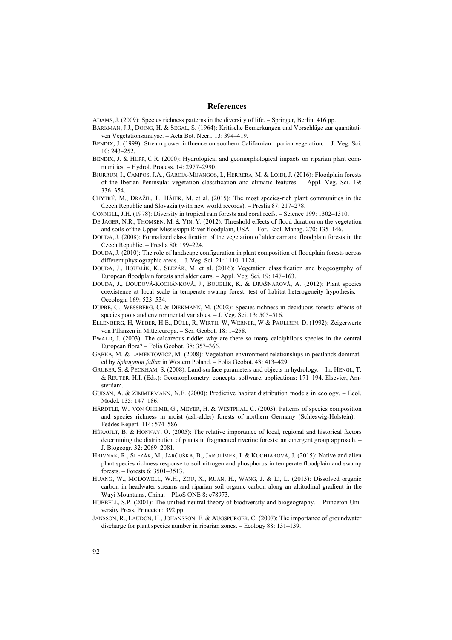#### **References**

ADAMS, J. (2009): Species richness patterns in the diversity of life. – Springer, Berlin: 416 pp.

- BARKMAN, J.J., DOING, H. & SEGAL, S. (1964): Kritische Bemerkungen und Vorschläge zur quantitativen Vegetationsanalyse. – Acta Bot. Neerl. 13: 394–419.
- BENDIX, J. (1999): Stream power influence on southern Californian riparian vegetation. J. Veg. Sci. 10: 243–252.
- BENDIX, J. & HUPP, C.R. (2000): Hydrological and geomorphological impacts on riparian plant communities. – Hydrol. Process. 14: 2977–2990.
- BIURRUN, I., CAMPOS, J.A., GARCÍA-MIJANGOS, I., HERRERA, M. & LOIDI, J. (2016): Floodplain forests of the Iberian Peninsula: vegetation classification and climatic features. – Appl. Veg. Sci. 19: 336–354.
- CHYTRÝ, M., DRAŽIL, T., HÁJEK, M. et al. (2015): The most species-rich plant communities in the Czech Republic and Slovakia (with new world records). – Preslia 87: 217–278.
- CONNELL, J.H. (1978): Diversity in tropical rain forests and coral reefs. Science 199: 1302–1310.
- DE JAGER, N.R., THOMSEN, M. & YIN, Y. (2012): Threshold effects of flood duration on the vegetation and soils of the Upper Mississippi River floodplain, USA. – For. Ecol. Manag. 270: 135–146.
- DOUDA, J. (2008): Formalized classification of the vegetation of alder carr and floodplain forests in the Czech Republic. – Preslia 80: 199–224.
- DOUDA, J. (2010): The role of landscape configuration in plant composition of floodplain forests across different physiographic areas. – J. Veg. Sci. 21: 1110–1124.
- DOUDA, J., BOUBLÍK, K., SLEZÁK, M. et al. (2016): Vegetation classification and biogeography of European floodplain forests and alder carrs. – Appl. Veg. Sci. 19: 147–163.
- DOUDA, J., DOUDOVÁ-KOCHÁNKOVÁ, J., BOUBLÍK, K. & DRAŠNAROVÁ, A. (2012): Plant species coexistence at local scale in temperate swamp forest: test of habitat heterogeneity hypothesis. – Oecologia 169: 523–534.
- DUPRÉ, C., WESSBERG, C. & DIEKMANN, M. (2002): Species richness in deciduous forests: effects of species pools and environmental variables. – J. Veg. Sci. 13: 505–516.
- ELLENBERG, H, WEBER, H.E., DÜLL, R, WIRTH, W, WERNER, W & PAULIßEN, D. (1992): Zeigerwerte von Pflanzen in Mitteleuropa. – Scr. Geobot. 18: 1–258.
- EWALD, J. (2003): The calcareous riddle: why are there so many calciphilous species in the central European flora? – Folia Geobot. 38: 357–366.
- GĄBKA, M. & LAMENTOWICZ, M. (2008): Vegetation-environment relationships in peatlands dominated by *Sphagnum fallax* in Western Poland. – Folia Geobot. 43: 413–429.
- GRUBER, S. & PECKHAM, S. (2008): Land-surface parameters and objects in hydrology. In: HENGL, T. & REUTER, H.I. (Eds.): Geomorphometry: concepts, software, applications: 171–194. Elsevier, Amsterdam.
- GUISAN, A. & ZIMMERMANN, N.E. (2000): Predictive habitat distribution models in ecology. Ecol. Model. 135: 147–186.
- HÄRDTLE, W., VON OHEIMB, G., MEYER, H. & WESTPHAL, C. (2003): Patterns of species composition and species richness in moist (ash-alder) forests of northern Germany (Schleswig-Holstein). – Feddes Repert. 114: 574–586.
- HÉRAULT, B. & HONNAY, O. (2005): The relative importance of local, regional and historical factors determining the distribution of plants in fragmented riverine forests: an emergent group approach. – J. Biogeogr. 32: 2069–2081.
- HRIVNÁK, R., SLEZÁK, M., JARČUŠKA, B., JAROLÍMEK, I. & KOCHJAROVÁ, J. (2015): Native and alien plant species richness response to soil nitrogen and phosphorus in temperate floodplain and swamp forests. – Forests 6: 3501–3513.
- HUANG, W., MCDOWELL, W.H., ZOU, X., RUAN, H., WANG, J. & LI, L. (2013): Dissolved organic carbon in headwater streams and riparian soil organic carbon along an altitudinal gradient in the Wuyi Mountains, China. – PLoS ONE 8: e78973.
- HUBBELL, S.P. (2001): The unified neutral theory of biodiversity and biogeography. Princeton University Press, Princeton: 392 pp.
- JANSSON, R., LAUDON, H., JOHANSSON, E. & AUGSPURGER, C. (2007): The importance of groundwater discharge for plant species number in riparian zones. – Ecology 88: 131–139.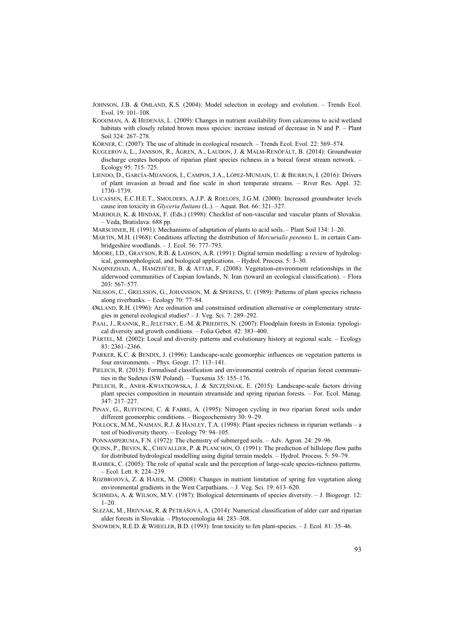- JOHNSON, J.B. & OMLAND, K.S. (2004): Model selection in ecology and evolution. Trends Ecol. Evol. 19: 101–108.
- KOOIJMAN, A. & HEDENÄS, L. (2009): Changes in nutrient availability from calcareous to acid wetland habitats with closely related brown moss species: increase instead of decrease in N and P. – Plant Soil 324: 267–278.
- KÖRNER, C. (2007): The use of altitude in ecological research. Trends Ecol. Evol. 22: 569–574.
- KUGLEROVÁ, L., JANSSON, R., ÅGREN, A., LAUDON, J. & MALM-RENÖFÄLT, B. (2014): Groundwater discharge creates hotspots of riparian plant species richness in a boreal forest stream network. – Ecology 95: 715–725.
- LIENDO, D., GARCÍA-MIJANGOS, I., CAMPOS, J.A., LÓPEZ-MUNIAIN, U. & BIURRUN, I. (2016): Drivers of plant invasion at broad and fine scale in short temperate streams. – River Res. Appl. 32: 1730–1739.
- LUCASSEN, E.C.H.E.T., SMOLDERS, A.J.P. & ROELOFS, J.G.M. (2000): Increased groundwater levels cause iron toxicity in *Glyceria fluitans* (L.). – Aquat. Bot. 66: 321–327.
- MARHOLD, K. & HINDÁK, F. (Eds.) (1998): Checklist of non-vascular and vascular plants of Slovakia. – Veda, Bratislava: 688 pp.
- MARSCHNER, H. (1991): Mechanisms of adaptation of plants to acid soils. Plant Soil 134: 1–20.
- MARTIN, M.H. (1968): Conditions affecting the distribution of *Mercurialis perennis* L. in certain Cambridgeshire woodlands. – J. Ecol. 56: 777–793.
- MOORE, I.D., GRAYSON, R.B. & LADSON, A.R. (1991): Digital terrain modelling: a review of hydrological, geomorphological, and biological applications. – Hydrol. Process. 5: 3–30.
- NAQINEZHAD, A., HAMZEH'EE, B. & ATTAR, F. (2008): Vegetation-environment relationships in the alderwood communities of Caspian lowlands, N. Iran (toward an ecological classification). – Flora 203: 567–577.
- NILSSON, C., GRELSSON, G., JOHANSSON, M. & SPERENS, U. (1989): Patterns of plant species richness along riverbanks. – Ecology 70: 77–84.
- ØKLAND, R.H. (1996): Are ordination and constrained ordination alternative or complementary strategies in general ecological studies? – J. Veg. Sci. 7: 289–292.
- PAAL, J., RANNIK, R., JELETSKY, E.-M. & PRIEDITIS, N. (2007): Floodplain forests in Estonia: typological diversity and growth conditions. – Folia Gebot. 42: 383–400.
- PÄRTEL, M. (2002): Local and diversity patterns and evolutionary history at regional scale. Ecology 83: 2361–2366.
- PARKER, K.C. & BENDIX, J. (1996): Landscape-scale geomorphic influences on vegetation patterns in four environments. – Phys. Geogr. 17: 113–141.
- PIELECH, R. (2015): Formalised classification and environmental controls of riparian forest communities in the Sudetes (SW Poland). – Tuexenia 35: 155–176.
- PIELECH, R., ANIOŁ-KWIATKOWSKA, J. & SZCZĘŚNIAK, E. (2015): Landscape-scale factors driving plant species composition in mountain streamside and spring riparian forests. – For. Ecol. Manag. 347: 217–227.
- PINAY, G., RUFFINONI, C. & FABRE, A. (1995): Nitrogen cycling in two riparian forest soils under different geomorphic conditions. – Biogeochemistry 30: 9–29.
- POLLOCK, M.M., NAIMAN, R.J. & HANLEY, T.A. (1998): Plant species richness in riparian wetlands a test of biodiversity theory. – Ecology 79: 94–105.
- PONNAMPERUMA, F.N. (1972): The chemistry of submerged soils. Adv. Agron. 24: 29–96.
- QUINN, P., BEVEN, K., CHEVALLIER, P. & PLANCHON, O. (1991): The prediction of hillslope flow paths for distributed hydrological modelling using digital terrain models. – Hydrol. Process. 5: 59–79.
- RAHBEK, C. (2005): The role of spatial scale and the perception of large-scale species-richness patterns. – Ecol. Lett. 8: 224–239.
- ROZBROJOVÁ, Z. & HÁJEK, M. (2008): Changes in nutrient limitation of spring fen vegetation along environmental gradients in the West Carpathians. – J. Veg. Sci. 19: 613–620.
- SCHMIDA, A. & WILSON, M.V. (1987): Biological determinants of species diversity. J. Biogeogr. 12: 1–20.
- SLEZÁK, M., HRIVNÁK, R. & PETRÁŠOVÁ, A. (2014): Numerical classification of alder carr and riparian alder forests in Slovakia. – Phytocoenologia 44: 283–308.
- SNOWDEN, R.E.D. & WHEELER, B.D. (1993): Iron toxicity to fen plant-species. J. Ecol. 81: 35–46.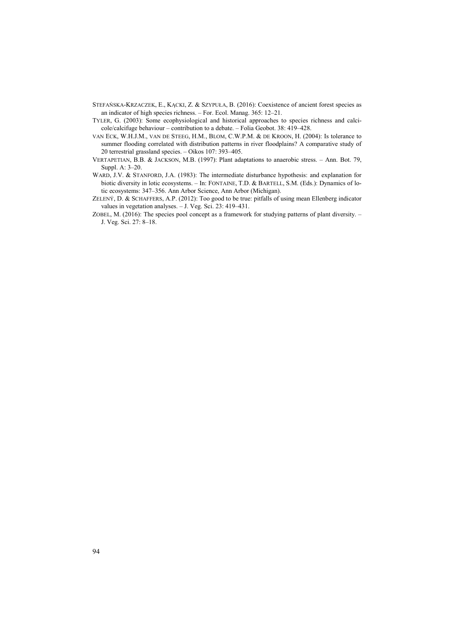- STEFAŃSKA-KRZACZEK, E., KĄCKI, Z. & SZYPUŁA, B. (2016): Coexistence of ancient forest species as an indicator of high species richness. – For. Ecol. Manag. 365: 12–21.
- TYLER, G. (2003): Some ecophysiological and historical approaches to species richness and calcicole/calcifuge behaviour – contribution to a debate. – Folia Geobot. 38: 419–428.
- VAN ECK, W.H.J.M., VAN DE STEEG, H.M., BLOM, C.W.P.M. & DE KROON, H. (2004): Is tolerance to summer flooding correlated with distribution patterns in river floodplains? A comparative study of 20 terrestrial grassland species. – Oikos 107: 393–405.
- VERTAPETIAN, B.B. & JACKSON, M.B. (1997): Plant adaptations to anaerobic stress. Ann. Bot. 79, Suppl. A: 3–20.
- WARD, J.V. & STANFORD, J.A. (1983): The intermediate disturbance hypothesis: and explanation for biotic diversity in lotic ecosystems. – In: FONTAINE, T.D. & BARTELL, S.M. (Eds.): Dynamics of lotic ecosystems: 347–356. Ann Arbor Science, Ann Arbor (Michigan).
- ZELENÝ, D. & SCHAFFERS, A.P. (2012): Too good to be true: pitfalls of using mean Ellenberg indicator values in vegetation analyses. – J. Veg. Sci. 23: 419–431.
- ZOBEL, M. (2016): The species pool concept as a framework for studying patterns of plant diversity. J. Veg. Sci. 27: 8–18.